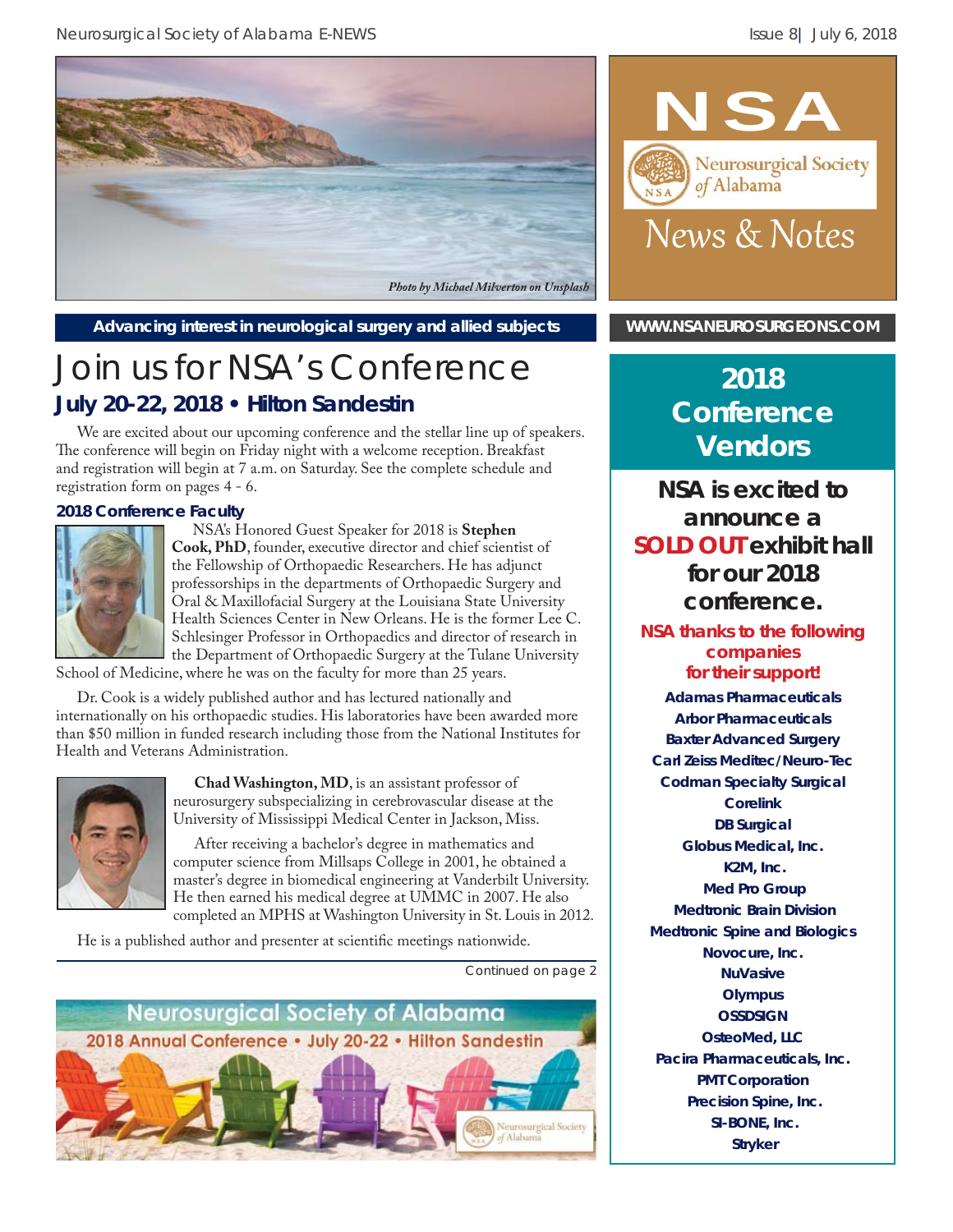

Advancing interest in neurological surgery and allied subjects **[WWW.NSANEUROSURGEONS.COM](http://www.nsaneurosurgeons.com)** 

# Join us for NSA's Conference **July 20-22, 2018 • Hilton Sandestin**

We are excited about our upcoming conference and the stellar line up of speakers. The conference will begin on Friday night with a welcome reception. Breakfast and registration will begin at 7 a.m. on Saturday. See the complete schedule and registration form on pages 4 - 6.

#### **2018 Conference Faculty**



NSA's Honored Guest Speaker for 2018 is **Stephen Cook, PhD**, founder, executive director and chief scientist of the Fellowship of Orthopaedic Researchers. He has adjunct professorships in the departments of Orthopaedic Surgery and Oral & Maxillofacial Surgery at the Louisiana State University Health Sciences Center in New Orleans. He is the former Lee C. Schlesinger Professor in Orthopaedics and director of research in the Department of Orthopaedic Surgery at the Tulane University

School of Medicine, where he was on the faculty for more than 25 years.

Dr. Cook is a widely published author and has lectured nationally and internationally on his orthopaedic studies. His laboratories have been awarded more than \$50 million in funded research including those from the National Institutes for Health and Veterans Administration.



**Chad Washington, MD**, is an assistant professor of neurosurgery subspecializing in cerebrovascular disease at the University of Mississippi Medical Center in Jackson, Miss.

After receiving a bachelor's degree in mathematics and computer science from Millsaps College in 2001, he obtained a master's degree in biomedical engineering at Vanderbilt University. He then earned his medical degree at UMMC in 2007. He also completed an MPHS at Washington University in St. Louis in 2012.

He is a published author and presenter at scientific meetings nationwide.

**Neurosurgical Society of Alabama** 2018 Annual Conference . July 20-22 . Hilton Sandestin surgical Society



## **2018 Conference Vendors**

**NSA is excited to announce a SOLD OUT exhibit hall for our 2018 conference.** 

#### **NSA thanks to the following companies for their support!**

**Adamas Pharmaceuticals Arbor Pharmaceuticals Baxter Advanced Surgery Carl Zeiss Meditec/Neuro-Tec Codman Specialty Surgical Corelink DB Surgical Globus Medical, Inc. K2M, Inc. Med Pro Group Medtronic Brain Division Medtronic Spine and Biologics Novocure, Inc. NuVasive Olympus OSSDSIGN OsteoMed, LLC Pacira Pharmaceuticals, Inc. PMT Corporation Precision Spine, Inc. SI-BONE, Inc. Stryker**

*Continued on page 2*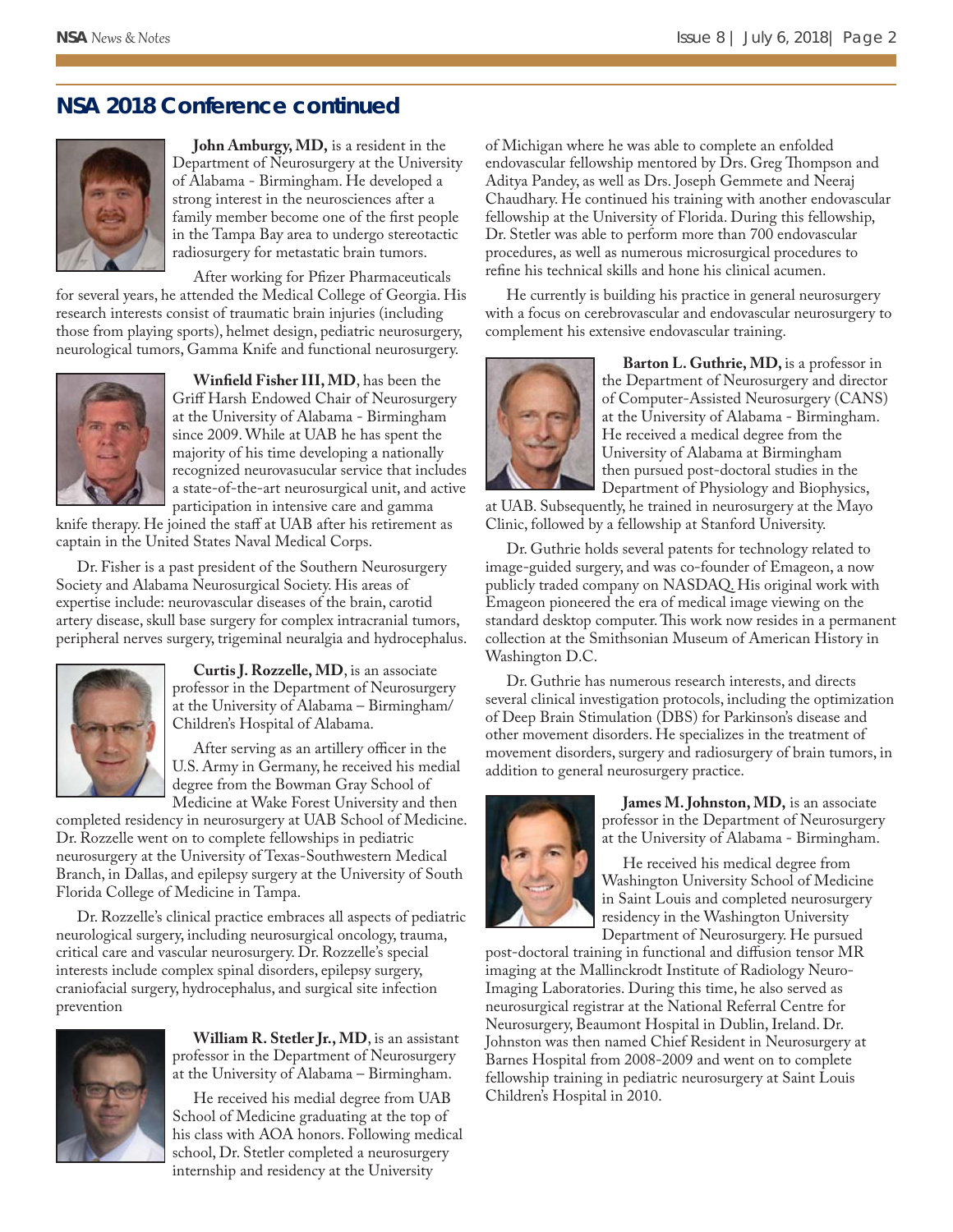#### **NSA 2018 Conference continued**



**John Amburgy, MD,** is a resident in the Department of Neurosurgery at the University of Alabama - Birmingham. He developed a strong interest in the neurosciences after a family member become one of the first people in the Tampa Bay area to undergo stereotactic radiosurgery for metastatic brain tumors.

After working for Pfizer Pharmaceuticals

for several years, he attended the Medical College of Georgia. His research interests consist of traumatic brain injuries (including those from playing sports), helmet design, pediatric neurosurgery, neurological tumors, Gamma Knife and functional neurosurgery.



**Winfield Fisher III, MD**, has been the Griff Harsh Endowed Chair of Neurosurgery at the University of Alabama - Birmingham since 2009. While at UAB he has spent the majority of his time developing a nationally recognized neurovasucular service that includes a state-of-the-art neurosurgical unit, and active participation in intensive care and gamma

knife therapy. He joined the staff at UAB after his retirement as captain in the United States Naval Medical Corps.

Dr. Fisher is a past president of the Southern Neurosurgery Society and Alabama Neurosurgical Society. His areas of expertise include: neurovascular diseases of the brain, carotid artery disease, skull base surgery for complex intracranial tumors, peripheral nerves surgery, trigeminal neuralgia and hydrocephalus.



**Curtis J. Rozzelle, MD**, is an associate professor in the Department of Neurosurgery at the University of Alabama – Birmingham/ Children's Hospital of Alabama.

After serving as an artillery officer in the U.S. Army in Germany, he received his medial degree from the Bowman Gray School of Medicine at Wake Forest University and then

completed residency in neurosurgery at UAB School of Medicine. Dr. Rozzelle went on to complete fellowships in pediatric neurosurgery at the University of Texas-Southwestern Medical Branch, in Dallas, and epilepsy surgery at the University of South Florida College of Medicine in Tampa.

Dr. Rozzelle's clinical practice embraces all aspects of pediatric neurological surgery, including neurosurgical oncology, trauma, critical care and vascular neurosurgery. Dr. Rozzelle's special interests include complex spinal disorders, epilepsy surgery, craniofacial surgery, hydrocephalus, and surgical site infection prevention



**William R. Stetler Jr., MD**, is an assistant professor in the Department of Neurosurgery at the University of Alabama – Birmingham.

He received his medial degree from UAB School of Medicine graduating at the top of his class with AOA honors. Following medical school, Dr. Stetler completed a neurosurgery internship and residency at the University

of Michigan where he was able to complete an enfolded endovascular fellowship mentored by Drs. Greg Thompson and Aditya Pandey, as well as Drs. Joseph Gemmete and Neeraj Chaudhary. He continued his training with another endovascular fellowship at the University of Florida. During this fellowship, Dr. Stetler was able to perform more than 700 endovascular procedures, as well as numerous microsurgical procedures to refine his technical skills and hone his clinical acumen.

He currently is building his practice in general neurosurgery with a focus on cerebrovascular and endovascular neurosurgery to complement his extensive endovascular training.



**Barton L. Guthrie, MD,** is a professor in the Department of Neurosurgery and director of Computer-Assisted Neurosurgery (CANS) at the University of Alabama - Birmingham. He received a medical degree from the University of Alabama at Birmingham then pursued post-doctoral studies in the Department of Physiology and Biophysics,

at UAB. Subsequently, he trained in neurosurgery at the Mayo Clinic, followed by a fellowship at Stanford University.

Dr. Guthrie holds several patents for technology related to image-guided surgery, and was co-founder of Emageon, a now publicly traded company on NASDAQ. His original work with Emageon pioneered the era of medical image viewing on the standard desktop computer. This work now resides in a permanent collection at the Smithsonian Museum of American History in Washington D.C.

Dr. Guthrie has numerous research interests, and directs several clinical investigation protocols, including the optimization of Deep Brain Stimulation (DBS) for Parkinson's disease and other movement disorders. He specializes in the treatment of movement disorders, surgery and radiosurgery of brain tumors, in addition to general neurosurgery practice.



**James M. Johnston, MD,** is an associate professor in the Department of Neurosurgery at the University of Alabama - Birmingham.

He received his medical degree from Washington University School of Medicine in Saint Louis and completed neurosurgery residency in the Washington University Department of Neurosurgery. He pursued

post-doctoral training in functional and diffusion tensor MR imaging at the Mallinckrodt Institute of Radiology Neuro-Imaging Laboratories. During this time, he also served as neurosurgical registrar at the National Referral Centre for Neurosurgery, Beaumont Hospital in Dublin, Ireland. Dr. Johnston was then named Chief Resident in Neurosurgery at Barnes Hospital from 2008-2009 and went on to complete fellowship training in pediatric neurosurgery at Saint Louis Children's Hospital in 2010.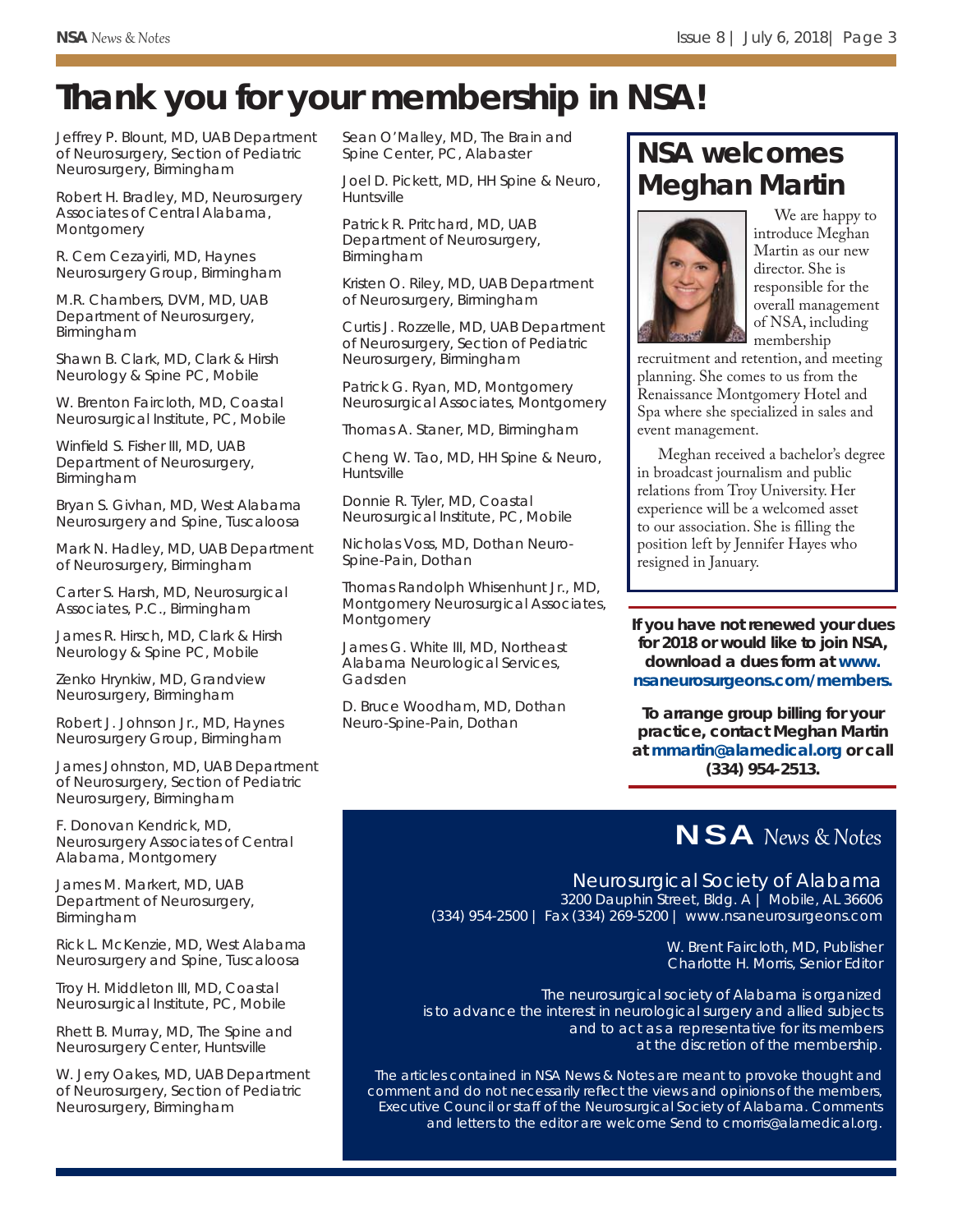# **Thank you for your membership in NSA!**

Jeffrey P. Blount, MD, UAB Department of Neurosurgery, Section of Pediatric Neurosurgery, Birmingham

Robert H. Bradley, MD, Neurosurgery Associates of Central Alabama, Montgomery

R. Cem Cezayirli, MD, Haynes Neurosurgery Group, Birmingham

M.R. Chambers, DVM, MD, UAB Department of Neurosurgery, Birmingham

Shawn B. Clark, MD, Clark & Hirsh Neurology & Spine PC, Mobile

W. Brenton Faircloth, MD, Coastal Neurosurgical Institute, PC, Mobile

Winfield S. Fisher III, MD, UAB Department of Neurosurgery, Birmingham

Bryan S. Givhan, MD, West Alabama Neurosurgery and Spine, Tuscaloosa

Mark N. Hadley, MD, UAB Department of Neurosurgery, Birmingham

Carter S. Harsh, MD, Neurosurgical Associates, P.C., Birmingham

James R. Hirsch, MD, Clark & Hirsh Neurology & Spine PC, Mobile

Zenko Hrynkiw, MD, Grandview Neurosurgery, Birmingham

Robert J. Johnson Jr., MD, Haynes Neurosurgery Group, Birmingham

James Johnston, MD, UAB Department of Neurosurgery, Section of Pediatric Neurosurgery, Birmingham

F. Donovan Kendrick, MD, Neurosurgery Associates of Central Alabama, Montgomery

James M. Markert, MD, UAB Department of Neurosurgery, Birmingham

Rick L. McKenzie, MD, West Alabama Neurosurgery and Spine, Tuscaloosa

Troy H. Middleton III, MD, Coastal Neurosurgical Institute, PC, Mobile

Rhett B. Murray, MD, The Spine and Neurosurgery Center, Huntsville

W. Jerry Oakes, MD, UAB Department of Neurosurgery, Section of Pediatric Neurosurgery, Birmingham

Sean O'Malley, MD, The Brain and Spine Center, PC, Alabaster

Joel D. Pickett, MD, HH Spine & Neuro, Huntsville

Patrick R. Pritchard, MD, UAB Department of Neurosurgery, Birmingham

Kristen O. Riley, MD, UAB Department of Neurosurgery, Birmingham

Curtis J. Rozzelle, MD, UAB Department of Neurosurgery, Section of Pediatric Neurosurgery, Birmingham

Patrick G. Ryan, MD, Montgomery Neurosurgical Associates, Montgomery

Thomas A. Staner, MD, Birmingham

Cheng W. Tao, MD, HH Spine & Neuro, Huntsville

Donnie R. Tyler, MD, Coastal Neurosurgical Institute, PC, Mobile

Nicholas Voss, MD, Dothan Neuro-Spine-Pain, Dothan

Thomas Randolph Whisenhunt Jr., MD, Montgomery Neurosurgical Associates, Montgomery

James G. White III, MD, Northeast Alabama Neurological Services, Gadsden

D. Bruce Woodham, MD, Dothan Neuro-Spine-Pain, Dothan

## **NSA welcomes Meghan Martin**



We are happy to introduce Meghan Martin as our new director. She is responsible for the overall management of NSA, including membership

recruitment and retention, and meeting planning. She comes to us from the Renaissance Montgomery Hotel and Spa where she specialized in sales and event management.

Meghan received a bachelor's degree in broadcast journalism and public relations from Troy University. Her experience will be a welcomed asset to our association. She is filling the position left by Jennifer Hayes who resigned in January.

**If you have not renewed your dues for 2018 or would like to join NSA, download a dues form at** *www. nsaneurosurgeons.com/members.*

**To arrange group billing for your practice, contact Meghan Martin at** *mmartin@alamedical.org* **or call (334) 954-2513.**

### NSA News & Notes

Neurosurgical Society of Alabama 3200 Dauphin Street, Bldg. A | Mobile, AL 36606

(334) 954-2500 | Fax (334) 269-5200 | www.nsaneurosurgeons.com

W. Brent Faircloth, MD, Publisher Charlotte H. Morris, Senior Editor

*The neurosurgical society of Alabama is organized is to advance the interest in neurological surgery and allied subjects and to act as a representative for its members at the discretion of the membership.*

*The articles contained in NSA News & Notes are meant to provoke thought and comment and do not necessarily refl ect the views and opinions of the members, Executive Council or staff of the Neurosurgical Society of Alabama. Comments and letters to the editor are welcome Send to cmorris@alamedical.org.*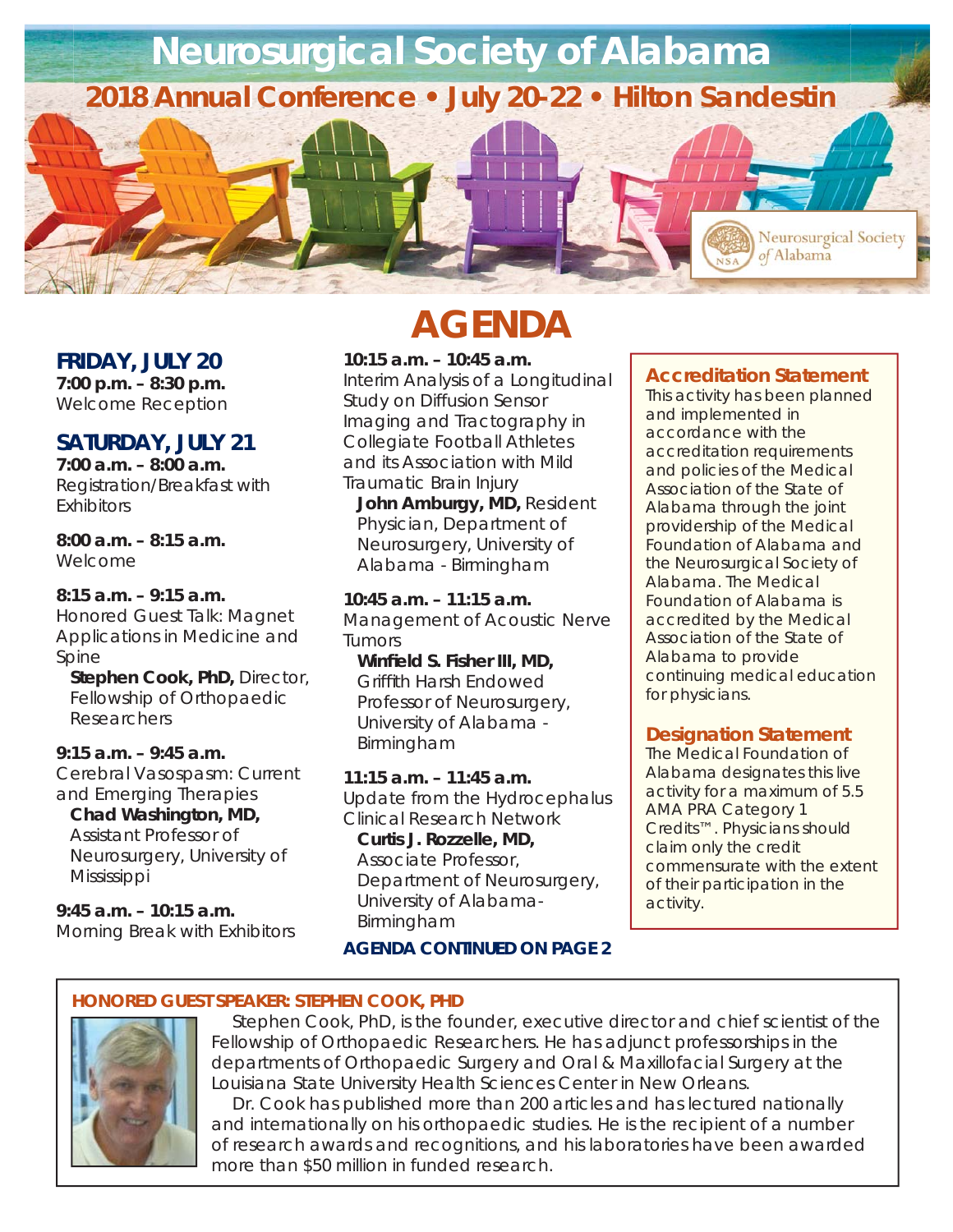

#### **FRIDAY, JULY 20**

**7:00 p.m. – 8:30 p.m.**  Welcome Reception

#### **SATURDAY, JULY 21**

**7:00 a.m. – 8:00 a.m.**  Registration/Breakfast with Exhibitors

**8:00 a.m. – 8:15 a.m.**  Welcome

#### **8:15 a.m. – 9:15 a.m.**

Honored Guest Talk: Magnet Applications in Medicine and Spine

*Stephen Cook, PhD, Director, Fellowship of Orthopaedic Researchers*

#### **9:15 a.m. – 9:45 a.m.**

Cerebral Vasospasm: Current and Emerging Therapies

*Chad Washington, MD,* 

*Assistant Professor of Neurosurgery, University of Mississippi*

**9:45 a.m. – 10:15 a.m.**  Morning Break with Exhibitors

# **AGENDA**

**10:15 a.m. – 10:45 a.m.**  Interim Analysis of a Longitudinal Study on Diffusion Sensor Imaging and Tractography in Collegiate Football Athletes and its Association with Mild

Traumatic Brain Injury *John Amburgy, MD, Resident Physician, Department of Neurosurgery, University of Alabama - Birmingham*

**10:45 a.m. – 11:15 a.m.**  Management of Acoustic Nerve Tumors

*Winfi eld S. Fisher III, MD, Griffi th Harsh Endowed Professor of Neurosurgery, University of Alabama - Birmingham*

**11:15 a.m. – 11:45 a.m.**  Update from the Hydrocephalus Clinical Research Network

*Curtis J. Rozzelle, MD, Associate Professor, Department of Neurosurgery, University of Alabama-Birmingham*

#### *AGENDA CONTINUED ON PAGE 2*

#### **Accreditation Statement**

This activity has been planned and implemented in accordance with the accreditation requirements and policies of the Medical Association of the State of Alabama through the joint providership of the Medical Foundation of Alabama and the Neurosurgical Society of Alabama. The Medical Foundation of Alabama is accredited by the Medical Association of the State of Alabama to provide continuing medical education for physicians.

#### **Designation Statement**

The Medical Foundation of Alabama designates this live activity for a maximum of *5.5 AMA PRA Category 1 Credits*™. Physicians should claim only the credit commensurate with the extent of their participation in the activity.

#### **HONORED GUEST SPEAKER: STEPHEN COOK, PHD**



Stephen Cook, PhD, is the founder, executive director and chief scientist of the Fellowship of Orthopaedic Researchers. He has adjunct professorships in the departments of Orthopaedic Surgery and Oral & Maxillofacial Surgery at the Louisiana State University Health Sciences Center in New Orleans.

Dr. Cook has published more than 200 articles and has lectured nationally and internationally on his orthopaedic studies. He is the recipient of a number of research awards and recognitions, and his laboratories have been awarded more than \$50 million in funded research.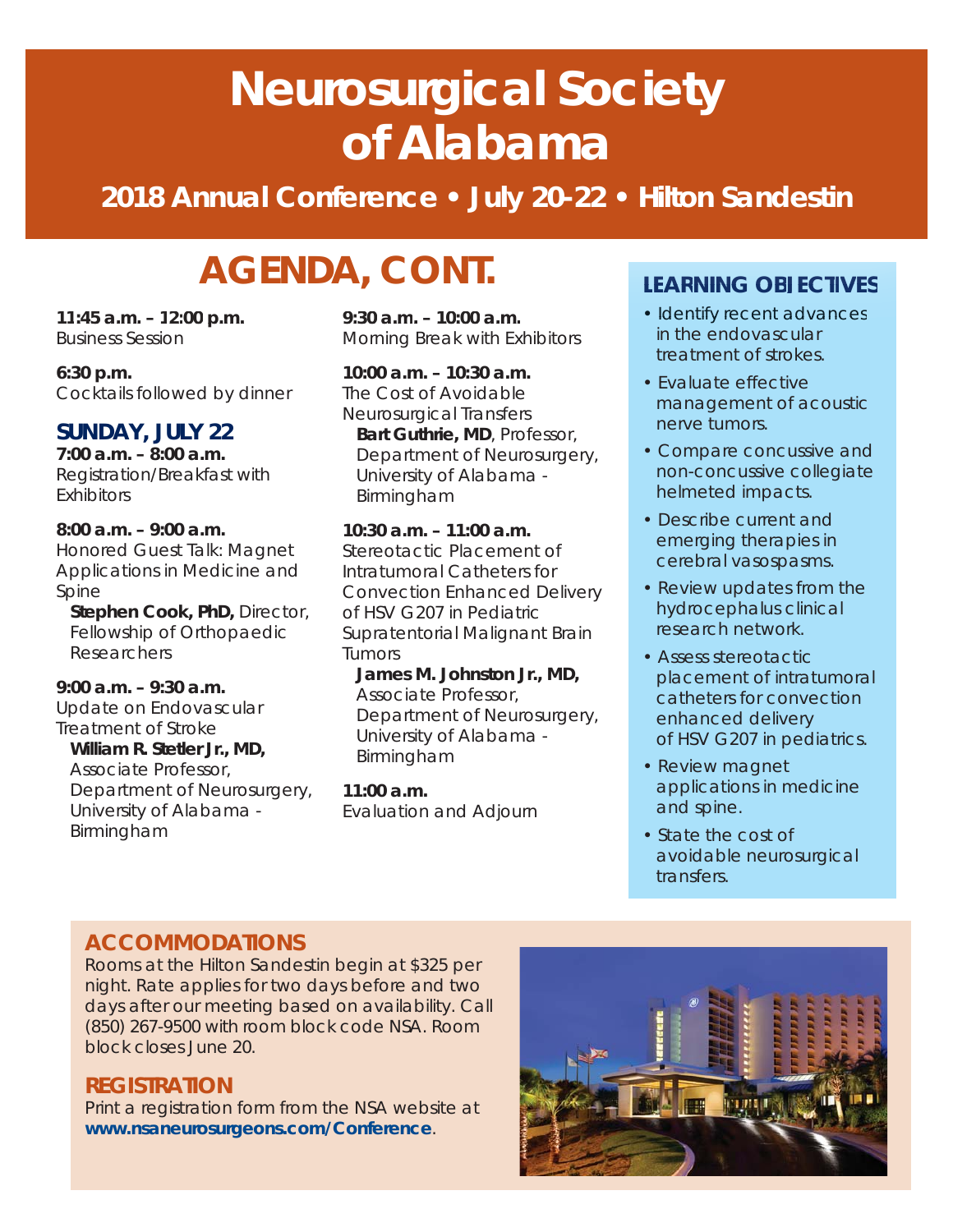# **Neurosurgical Society of Alabama**

## **2018 Annual Conference • July 20-22 • Hilton Sandestin**

# **AGENDA, CONT.**

**11:45 a.m. – 12:00 p.m.**  Business Session **9:30 a.m. – 10:00 a.m. 11:45 a.m. – 12:00 p.m. 9:30 a.m. – 10:00 a.m.**

**6:30 p.m.**  Cocktails followed by dinner

#### **SUNDAY, JULY 22**

**7:00 a.m. – 8:00 a.m.**  Registration/Breakfast with Exhibitors

**8:00 a.m. – 9:00 a.m.**  Honored Guest Talk: Magnet Applications in Medicine and Spine

*Stephen Cook, PhD, Director, Fellowship of Orthopaedic Researchers*

**9:00 a.m. – 9:30 a.m.**  Update on Endovascular Treatment of Stroke *William R. Stetler Jr., MD, Associate Professor, Department of Neurosurgery, University of Alabama - Birmingham*

Morning Break with Exhibitors

**10:00 a.m. – 10:30 a.m.**  The Cost of Avoidable Neurosurgical Transfers *Bart Guthrie, MD, Professor, Department of Neurosurgery, University of Alabama - Birmingham*

**10:30 a.m. – 11:00 a.m.**  Stereotactic Placement of Intratumoral Catheters for Convection Enhanced Delivery of HSV G207 in Pediatric Supratentorial Malignant Brain Tumors

*James M. Johnston Jr., MD, Associate Professor, Department of Neurosurgery, University of Alabama - Birmingham*

**11:00 a.m.**  Evaluation and Adjourn

#### **LEARNING OBJECTIVES LEARNING**

- Identify recent advances Identify recent advances in the endovascular treatment of strokes.
- Evaluate effective management of acoustic nerve tumors.
- Compare concussive and non-concussive collegiate helmeted impacts.
- Describe current and emerging therapies in cerebral vasospasms.
- Review updates from the hydrocephalus clinical research network.
- Assess stereotactic placement of intratumoral catheters for convection enhanced delivery of HSV G207 in pediatrics.
- Review magnet applications in medicine and spine.
- State the cost of avoidable neurosurgical transfers.

#### **ACCOMMODATIONS**

Rooms at the Hilton Sandestin begin at \$325 per night. Rate applies for two days before and two days after our meeting based on availability. Call (850) 267-9500 with room block code NSA. Room block closes June 20.

#### **REGISTRATION**

Print a registration form from the NSA website at *www.nsaneurosurgeons.com/Conference*.